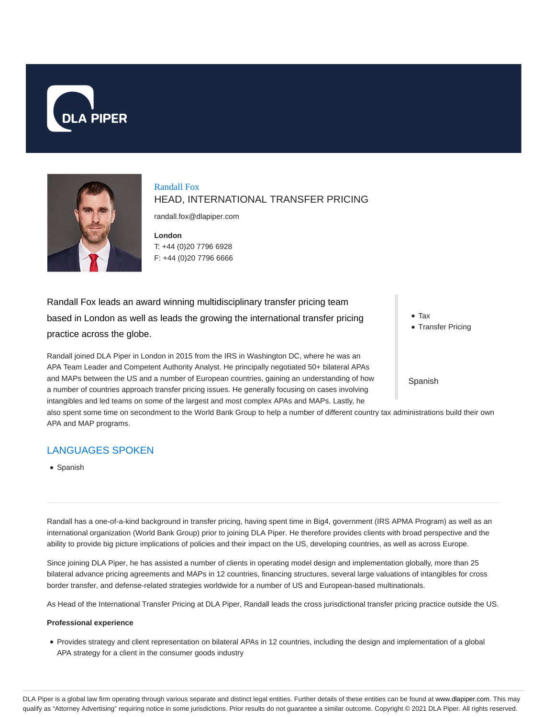



Randall Fox HEAD, INTERNATIONAL TRANSFER PRICING

randall.fox@dlapiper.com

**London** T: +44 (0)20 7796 6928 F: +44 (0)20 7796 6666

Randall Fox leads an award winning multidisciplinary transfer pricing team based in London as well as leads the growing the international transfer pricing practice across the globe.

Randall joined DLA Piper in London in 2015 from the IRS in Washington DC, where he was an APA Team Leader and Competent Authority Analyst. He principally negotiated 50+ bilateral APAs and MAPs between the US and a number of European countries, gaining an understanding of how a number of countries approach transfer pricing issues. He generally focusing on cases involving intangibles and led teams on some of the largest and most complex APAs and MAPs. Lastly, he

Tax

• Transfer Pricing

Spanish

also spent some time on secondment to the World Bank Group to help a number of different country tax administrations build their own APA and MAP programs.

## LANGUAGES SPOKEN

• Spanish

Randall has a one-of-a-kind background in transfer pricing, having spent time in Big4, government (IRS APMA Program) as well as an international organization (World Bank Group) prior to joining DLA Piper. He therefore provides clients with broad perspective and the ability to provide big picture implications of policies and their impact on the US, developing countries, as well as across Europe.

Since joining DLA Piper, he has assisted a number of clients in operating model design and implementation globally, more than 25 bilateral advance pricing agreements and MAPs in 12 countries, financing structures, several large valuations of intangibles for cross border transfer, and defense-related strategies worldwide for a number of US and European-based multinationals.

As Head of the International Transfer Pricing at DLA Piper, Randall leads the cross jurisdictional transfer pricing practice outside the US.

#### **Professional experience**

Provides strategy and client representation on bilateral APAs in 12 countries, including the design and implementation of a global APA strategy for a client in the consumer goods industry

DLA Piper is a global law firm operating through various separate and distinct legal entities. Further details of these entities can be found at www.dlapiper.com. This may qualify as "Attorney Advertising" requiring notice in some jurisdictions. Prior results do not guarantee a similar outcome. Copyright @ 2021 DLA Piper. All rights reserved.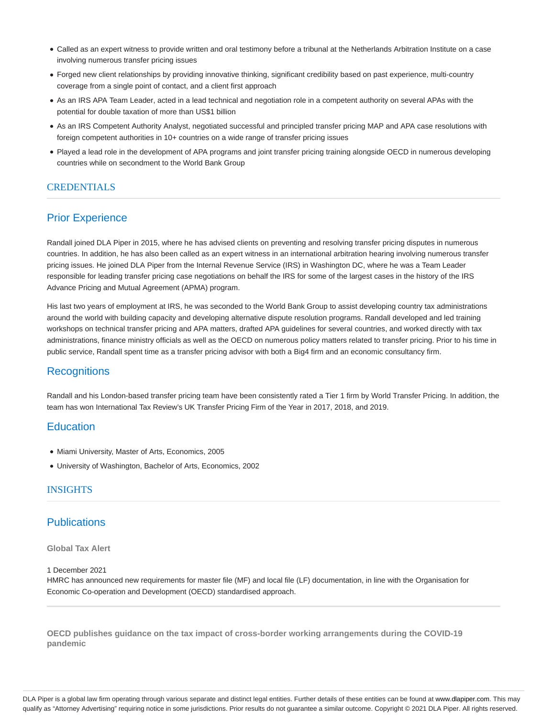- Called as an expert witness to provide written and oral testimony before a tribunal at the Netherlands Arbitration Institute on a case involving numerous transfer pricing issues
- Forged new client relationships by providing innovative thinking, significant credibility based on past experience, multi-country coverage from a single point of contact, and a client first approach
- As an IRS APA Team Leader, acted in a lead technical and negotiation role in a competent authority on several APAs with the potential for double taxation of more than US\$1 billion
- As an IRS Competent Authority Analyst, negotiated successful and principled transfer pricing MAP and APA case resolutions with foreign competent authorities in 10+ countries on a wide range of transfer pricing issues
- Played a lead role in the development of APA programs and joint transfer pricing training alongside OECD in numerous developing countries while on secondment to the World Bank Group

## CREDENTIALS

## Prior Experience

Randall joined DLA Piper in 2015, where he has advised clients on preventing and resolving transfer pricing disputes in numerous countries. In addition, he has also been called as an expert witness in an international arbitration hearing involving numerous transfer pricing issues. He joined DLA Piper from the Internal Revenue Service (IRS) in Washington DC, where he was a Team Leader responsible for leading transfer pricing case negotiations on behalf the IRS for some of the largest cases in the history of the IRS Advance Pricing and Mutual Agreement (APMA) program.

His last two years of employment at IRS, he was seconded to the World Bank Group to assist developing country tax administrations around the world with building capacity and developing alternative dispute resolution programs. Randall developed and led training workshops on technical transfer pricing and APA matters, drafted APA guidelines for several countries, and worked directly with tax administrations, finance ministry officials as well as the OECD on numerous policy matters related to transfer pricing. Prior to his time in public service, Randall spent time as a transfer pricing advisor with both a Big4 firm and an economic consultancy firm.

#### **Recognitions**

Randall and his London-based transfer pricing team have been consistently rated a Tier 1 firm by World Transfer Pricing. In addition, the team has won International Tax Review's UK Transfer Pricing Firm of the Year in 2017, 2018, and 2019.

#### **Education**

- Miami University, Master of Arts, Economics, 2005
- University of Washington, Bachelor of Arts, Economics, 2002

#### INSIGHTS

#### **Publications**

#### **Global Tax Alert**

#### 1 December 2021

HMRC has announced new requirements for master file (MF) and local file (LF) documentation, in line with the Organisation for Economic Co-operation and Development (OECD) standardised approach.

**OECD publishes guidance on the tax impact of cross-border working arrangements during the COVID-19 pandemic**

DLA Piper is a global law firm operating through various separate and distinct legal entities. Further details of these entities can be found at www.dlapiper.com. This may qualify as "Attorney Advertising" requiring notice in some jurisdictions. Prior results do not guarantee a similar outcome. Copyright @ 2021 DLA Piper. All rights reserved.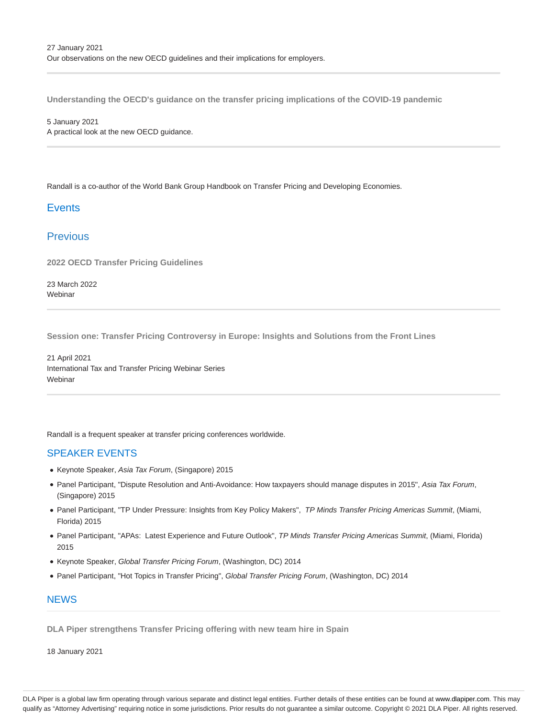**Understanding the OECD's guidance on the transfer pricing implications of the COVID-19 pandemic**

5 January 2021 A practical look at the new OECD guidance.

Randall is a co-author of the World Bank Group Handbook on Transfer Pricing and Developing Economies.

## **Events**

## **Previous**

**2022 OECD Transfer Pricing Guidelines**

23 March 2022 **Webinar** 

**Session one: Transfer Pricing Controversy in Europe: Insights and Solutions from the Front Lines**

21 April 2021 International Tax and Transfer Pricing Webinar Series **Webinar** 

Randall is a frequent speaker at transfer pricing conferences worldwide.

#### SPEAKER EVENTS

- Keynote Speaker, Asia Tax Forum, (Singapore) 2015
- Panel Participant, "Dispute Resolution and Anti-Avoidance: How taxpayers should manage disputes in 2015", Asia Tax Forum, (Singapore) 2015
- Panel Participant, "TP Under Pressure: Insights from Key Policy Makers", TP Minds Transfer Pricing Americas Summit, (Miami, Florida) 2015
- Panel Participant, "APAs: Latest Experience and Future Outlook", TP Minds Transfer Pricing Americas Summit, (Miami, Florida) 2015
- Keynote Speaker, Global Transfer Pricing Forum, (Washington, DC) 2014
- Panel Participant, "Hot Topics in Transfer Pricing", Global Transfer Pricing Forum, (Washington, DC) 2014

# **NFWS**

**DLA Piper strengthens Transfer Pricing offering with new team hire in Spain**

18 January 2021

DLA Piper is a global law firm operating through various separate and distinct legal entities. Further details of these entities can be found at www.dlapiper.com. This may qualify as "Attorney Advertising" requiring notice in some jurisdictions. Prior results do not guarantee a similar outcome. Copyright © 2021 DLA Piper. All rights reserved.